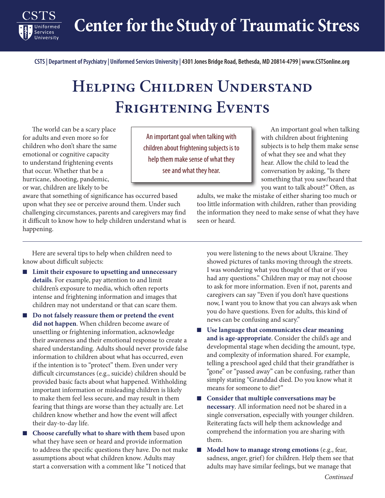**Center for the Study of Traumatic Stress**

**CSTS | Department of Psychiatry | Uniformed Services University | 4301 Jones Bridge Road, Bethesda, MD 20814-4799 | www.CSTSonline.org**

## **Helping Children Understand Frightening Events**

The world can be a scary place for adults and even more so for children who don't share the same emotional or cognitive capacity to understand frightening events that occur. Whether that be a hurricane, shooting, pandemic, or war, children are likely to be

Services

An important goal when talking with children about frightening subjects is to help them make sense of what they see and what they hear.

An important goal when talking with children about frightening subjects is to help them make sense of what they see and what they hear. Allow the child to lead the conversation by asking, "Is there something that you saw/heard that you want to talk about?" Often, as

aware that something of significance has occurred based upon what they see or perceive around them. Under such challenging circumstances, parents and caregivers may find it difficult to know how to help children understand what is happening.

adults, we make the mistake of either sharing too much or too little information with children, rather than providing the information they need to make sense of what they have seen or heard.

Here are several tips to help when children need to know about difficult subjects:

- **Limit their exposure to upsetting and unnecessary details**. For example, pay attention to and limit children's exposure to media, which often reports intense and frightening information and images that children may not understand or that can scare them.
- **Do not falsely reassure them or pretend the event did not happen**. When children become aware of unsettling or frightening information, acknowledge their awareness and their emotional response to create a shared understanding. Adults should never provide false information to children about what has occurred, even if the intention is to "protect" them. Even under very difficult circumstances (e.g., suicide) children should be provided basic facts about what happened. Withholding important information or misleading children is likely to make them feel less secure, and may result in them fearing that things are worse than they actually are. Let children know whether and how the event will affect their day-to-day life.
- Choose carefully what to share with them based upon what they have seen or heard and provide information to address the specific questions they have. Do not make assumptions about what children know. Adults may start a conversation with a comment like "I noticed that

you were listening to the news about Ukraine. They showed pictures of tanks moving through the streets. I was wondering what you thought of that or if you had any questions." Children may or may not choose to ask for more information. Even if not, parents and caregivers can say "Even if you don't have questions now, I want you to know that you can always ask when you do have questions. Even for adults, this kind of news can be confusing and scary."

- **Use language that communicates clear meaning and is age-appropriate**. Consider the child's age and developmental stage when deciding the amount, type, and complexity of information shared. For example, telling a preschool aged child that their grandfather is "gone" or "passed away" can be confusing, rather than simply stating "Granddad died. Do you know what it means for someone to die?"
- **Consider that multiple conversations may be necessary**. All information need not be shared in a single conversation, especially with younger children. Reiterating facts will help them acknowledge and comprehend the information you are sharing with them.
- **Model how to manage strong emotions** (e.g., fear, sadness, anger, grief) for children. Help them see that adults may have similar feelings, but we manage that